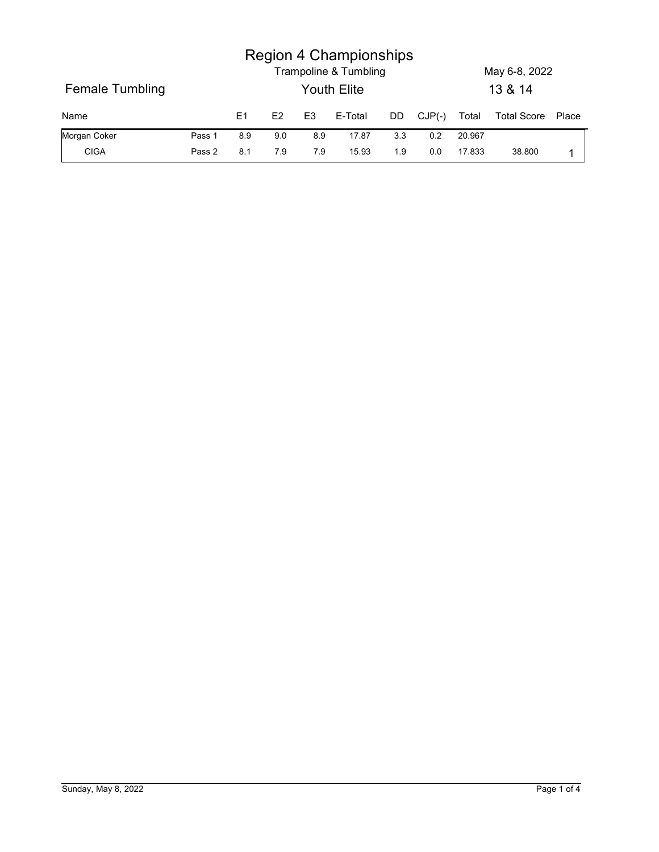|                 |        |                |                | <b>Region 4 Championships</b>        |     |          |        |                          |       |
|-----------------|--------|----------------|----------------|--------------------------------------|-----|----------|--------|--------------------------|-------|
|                 |        |                |                |                                      |     |          |        |                          |       |
| Female Tumbling |        |                |                | Trampoline & Tumbling<br>Youth Elite |     |          |        | May 6-8, 2022<br>13 & 14 |       |
| Name            |        | E1<br>E2       | E <sub>3</sub> | E-Total                              | DD  | $CJP(-)$ | Total  | <b>Total Score</b>       | Place |
| Morgan Coker    | Pass 1 | $8.9\,$<br>9.0 | 8.9            | 17.87                                | 3.3 | 0.2      | 20.967 |                          |       |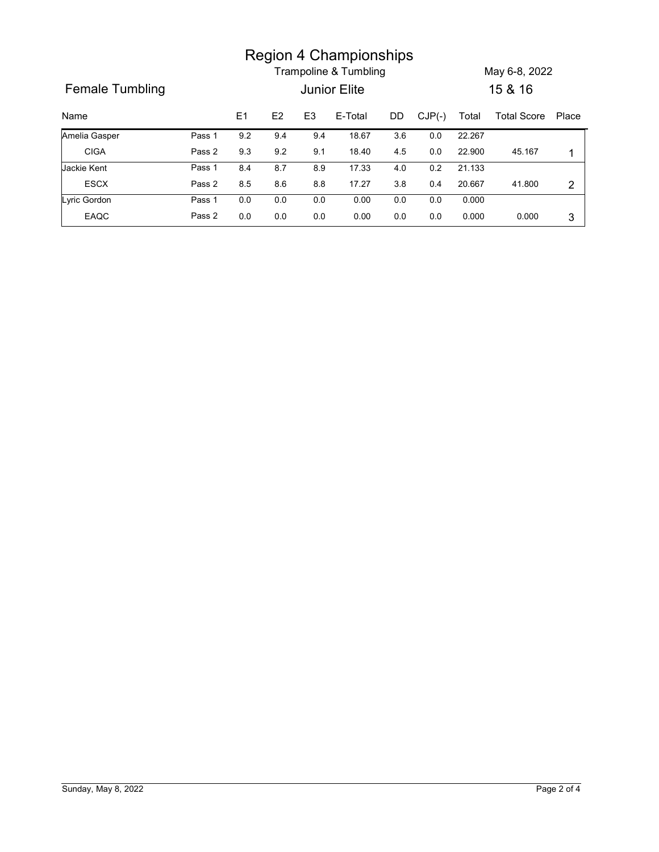|                 |        |         |     |                | <b>Region 4 Championships</b> |         |          |        |                   |                |
|-----------------|--------|---------|-----|----------------|-------------------------------|---------|----------|--------|-------------------|----------------|
|                 |        |         |     |                | Trampoline & Tumbling         |         |          |        | May 6-8, 2022     |                |
| Female Tumbling |        |         |     |                | Junior Elite                  |         |          |        | 15 & 16           |                |
| Name            |        | E1      | E2  | E <sub>3</sub> | E-Total                       | DD      | $CJP(-)$ | Total  | Total Score Place |                |
|                 |        |         |     | 9.4            | 18.67                         | 3.6     | $0.0\,$  | 22.267 |                   |                |
| Amelia Gasper   | Pass 1 | $9.2\,$ | 9.4 |                |                               |         |          |        |                   |                |
| <b>CIGA</b>     | Pass 2 | 9.3     | 9.2 | 9.1            | 18.40                         | 4.5     | 0.0      | 22.900 | 45.167            | $\mathbf{1}$   |
| Jackie Kent     | Pass 1 | 8.4     | 8.7 | 8.9            | 17.33                         | $4.0\,$ | 0.2      | 21.133 |                   |                |
| ESCX            | Pass 2 | $8.5\,$ | 8.6 | $8.8\,$        | 17.27                         | $3.8\,$ | 0.4      | 20.667 | 41.800            | $\overline{2}$ |
| Lyric Gordon    | Pass 1 | 0.0     | 0.0 | 0.0            | 0.00                          | $0.0\,$ | 0.0      | 0.000  |                   |                |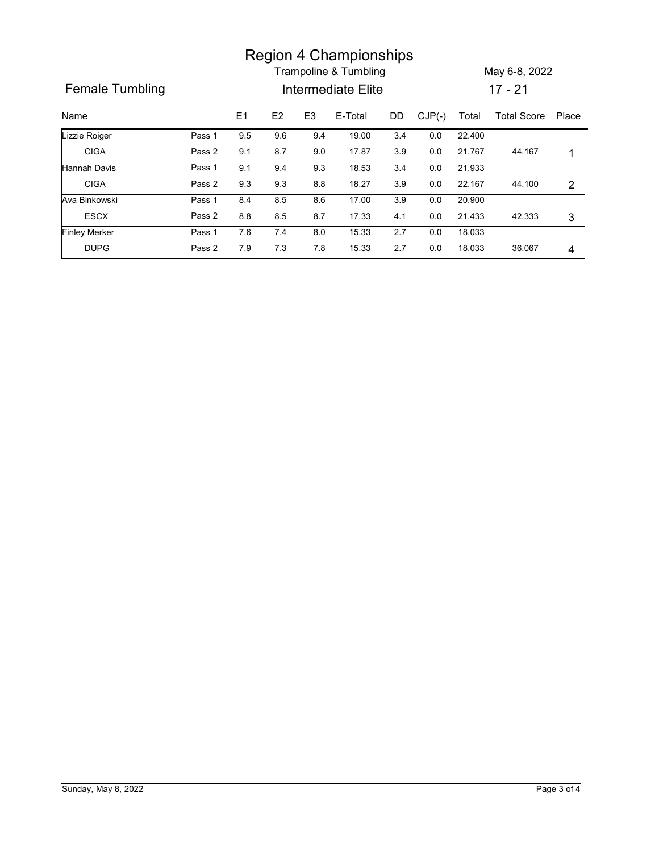|                        |        |     |     |                | <b>Region 4 Championships</b> |         |          |        |                   |                |
|------------------------|--------|-----|-----|----------------|-------------------------------|---------|----------|--------|-------------------|----------------|
|                        |        |     |     |                | Trampoline & Tumbling         |         |          |        | May 6-8, 2022     |                |
| <b>Female Tumbling</b> |        |     |     |                | Intermediate Elite            |         |          |        | $17 - 21$         |                |
| Name                   |        | E1  | E2  | E <sub>3</sub> | E-Total                       | DD      | $CJP(-)$ | Total  | Total Score Place |                |
| Lizzie Roiger          | Pass 1 | 9.5 | 9.6 | 9.4            | 19.00                         | 3.4     | 0.0      | 22.400 |                   |                |
| <b>CIGA</b>            | Pass 2 | 9.1 | 8.7 | 9.0            | 17.87                         | $3.9\,$ | 0.0      | 21.767 | 44.167            | $\mathbf{1}$   |
| Hannah Davis           | Pass 1 | 9.1 | 9.4 | 9.3            | 18.53                         | 3.4     | 0.0      | 21.933 |                   |                |
| <b>CIGA</b>            | Pass 2 | 9.3 | 9.3 | 8.8            | 18.27                         | 3.9     | 0.0      | 22.167 | 44.100            | $\overline{2}$ |
|                        | Pass 1 | 8.4 | 8.5 | 8.6            | 17.00                         | $3.9\,$ | 0.0      | 20.900 |                   |                |
| Ava Binkowski          |        |     | 8.5 | 8.7            | 17.33                         | 4.1     | 0.0      | 21.433 | 42.333            | 3              |
| <b>ESCX</b>            | Pass 2 | 8.8 |     |                |                               |         |          |        |                   |                |
| <b>Finley Merker</b>   | Pass 1 | 7.6 | 7.4 | 8.0            | 15.33                         | 2.7     | 0.0      | 18.033 |                   |                |